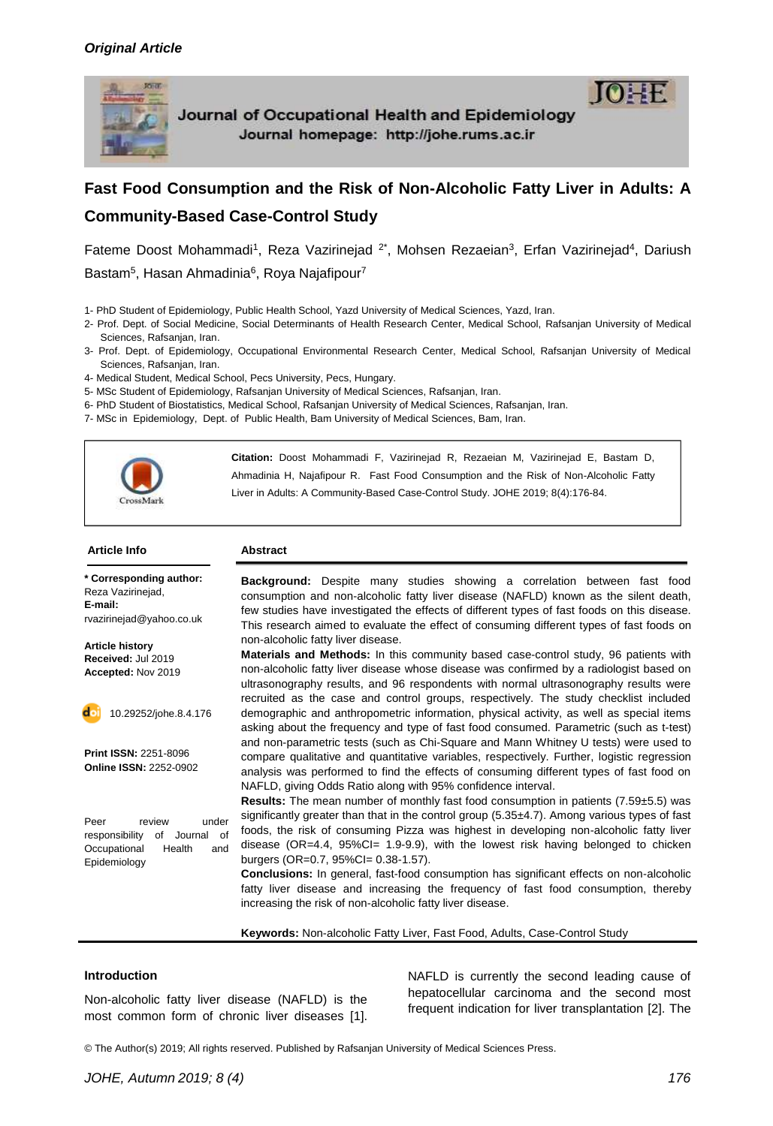

Journal of Occupational Health and Epidemiology Journal homepage: http://johe.rums.ac.ir



# **Fast Food Consumption and the Risk of Non-Alcoholic Fatty Liver in Adults: A Community-Based Case-Control Study**

Fateme Doost Mohammadi<sup>1</sup>, Reza Vazirinejad <sup>2\*</sup>, Mohsen Rezaeian<sup>3</sup>, Erfan Vazirinejad<sup>4</sup>, Dariush Bastam<sup>5</sup>, Hasan Ahmadinia<sup>6</sup>, Roya Najafipour<sup>7</sup>

- 1- PhD Student of Epidemiology, Public Health School, Yazd University of Medical Sciences, Yazd, Iran.
- 2- Prof. Dept. of Social Medicine, Social Determinants of Health Research Center, Medical School, Rafsanjan University of Medical Sciences, Rafsanjan, Iran.
- 3- Prof. Dept. of Epidemiology, Occupational Environmental Research Center, Medical School, Rafsanjan University of Medical Sciences, Rafsanjan, Iran.
- 4- Medical Student, Medical School, Pecs University, Pecs, Hungary.
- 5- MSc Student of Epidemiology, Rafsanjan University of Medical Sciences, Rafsanjan, Iran.
- 6- PhD Student of Biostatistics, Medical School, Rafsanjan University of Medical Sciences, Rafsanjan, Iran.
- 7- MSc in Epidemiology, Dept. of Public Health, Bam University of Medical Sciences, Bam, Iran.



**Citation:** Doost Mohammadi F, Vazirinejad R, Rezaeian M, Vazirinejad E, Bastam D, Ahmadinia H, Najafipour R. Fast Food Consumption and the Risk of Non-Alcoholic Fatty Liver in Adults: A Community-Based Case-Control Study. JOHE 2019; 8(4):176-84.

#### **Article Info Abstract**

**\* Corresponding author:** Reza Vazirinejad, **E-mail:**  rvazirinejad@yahoo.co.uk

**Article history Received:** Jul 2019 **Accepted:** Nov 2019

10.29252/johe.8.4.176

**Print ISSN:** 2251-8096 **Online ISSN:** 2252-0902

Peer review under responsibility of Journal of Occupational Health and Epidemiology

**Background:** Despite many studies showing a correlation between fast food consumption and non-alcoholic fatty liver disease (NAFLD) known as the silent death, few studies have investigated the effects of different types of fast foods on this disease. This research aimed to evaluate the effect of consuming different types of fast foods on non-alcoholic fatty liver disease.

**Materials and Methods:** In this community based case-control study, 96 patients with non-alcoholic fatty liver disease whose disease was confirmed by a radiologist based on ultrasonography results, and 96 respondents with normal ultrasonography results were recruited as the case and control groups, respectively. The study checklist included demographic and anthropometric information, physical activity, as well as special items asking about the frequency and type of fast food consumed. Parametric (such as t-test) and non-parametric tests (such as Chi-Square and Mann Whitney U tests) were used to compare qualitative and quantitative variables, respectively. Further, logistic regression analysis was performed to find the effects of consuming different types of fast food on NAFLD, giving Odds Ratio along with 95% confidence interval.

**Results:** The mean number of monthly fast food consumption in patients (7.59±5.5) was significantly greater than that in the control group (5.35±4.7). Among various types of fast foods, the risk of consuming Pizza was highest in developing non-alcoholic fatty liver disease (OR=4.4, 95%CI= 1.9-9.9), with the lowest risk having belonged to chicken burgers (OR=0.7, 95%CI= 0.38-1.57).

**Conclusions:** In general, fast-food consumption has significant effects on non-alcoholic fatty liver disease and increasing the frequency of fast food consumption, thereby increasing the risk of non-alcoholic fatty liver disease.

**Keywords:** Non-alcoholic Fatty Liver, Fast Food, Adults, Case-Control Study

#### **Introduction**

Non-alcoholic fatty liver disease (NAFLD) is the most common form of chronic liver diseases [1].

NAFLD is currently the second leading cause of hepatocellular carcinoma and the second most frequent indication for liver transplantation [2]. The

© The Author(s) 2019; All rights reserved. Published by Rafsanjan University of Medical Sciences Press.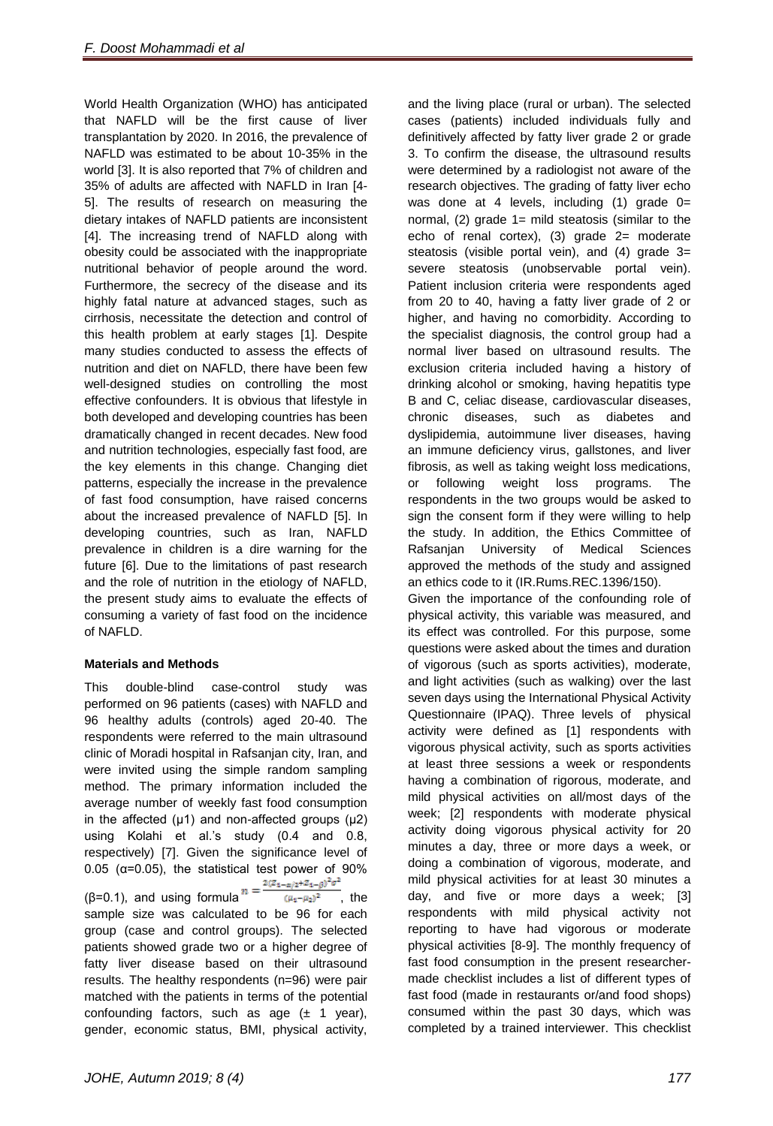World Health Organization (WHO) has anticipated that NAFLD will be the first cause of liver transplantation by 2020. In 2016, the prevalence of NAFLD was estimated to be about 10-35% in the world [3]. It is also reported that 7% of children and 35% of adults are affected with NAFLD in Iran [4- 5]. The results of research on measuring the dietary intakes of NAFLD patients are inconsistent [4]. The increasing trend of NAFLD along with obesity could be associated with the inappropriate nutritional behavior of people around the word. Furthermore, the secrecy of the disease and its highly fatal nature at advanced stages, such as cirrhosis, necessitate the detection and control of this health problem at early stages [1]. Despite many studies conducted to assess the effects of nutrition and diet on NAFLD, there have been few well-designed studies on controlling the most effective confounders. It is obvious that lifestyle in both developed and developing countries has been dramatically changed in recent decades. New food and nutrition technologies, especially fast food, are the key elements in this change. Changing diet patterns, especially the increase in the prevalence of fast food consumption, have raised concerns about the increased prevalence of NAFLD [5]. In developing countries, such as Iran, NAFLD prevalence in children is a dire warning for the future [6]. Due to the limitations of past research and the role of nutrition in the etiology of NAFLD, the present study aims to evaluate the effects of consuming a variety of fast food on the incidence of NAFLD.

## **Materials and Methods**

This double-blind case-control study was performed on 96 patients (cases) with NAFLD and 96 healthy adults (controls) aged 20-40. The respondents were referred to the main ultrasound clinic of Moradi hospital in Rafsanjan city, Iran, and were invited using the simple random sampling method. The primary information included the average number of weekly fast food consumption in the affected  $(\mu 1)$  and non-affected groups  $(\mu 2)$ using Kolahi et al.'s study (0.4 and 0.8, respectively) [7]. Given the significance level of 0.05 ( $\alpha$ =0.05), the statistical test power of 90% (β=0.1), and using formula  $n = \frac{2(z_{1-\alpha/2}+z_{1-\beta})^2\sigma^2}{(\mu_1-\mu_2)^2}$ , the sample size was calculated to be 96 for each group (case and control groups). The selected patients showed grade two or a higher degree of fatty liver disease based on their ultrasound results. The healthy respondents (n=96) were pair matched with the patients in terms of the potential confounding factors, such as age  $(\pm 1 \text{ year})$ , gender, economic status, BMI, physical activity,

and the living place (rural or urban). The selected cases (patients) included individuals fully and definitively affected by fatty liver grade 2 or grade 3. To confirm the disease, the ultrasound results were determined by a radiologist not aware of the research objectives. The grading of fatty liver echo was done at 4 levels, including  $(1)$  grade 0= normal,  $(2)$  grade  $1=$  mild steatosis (similar to the echo of renal cortex), (3) grade 2= moderate steatosis (visible portal vein), and (4) grade 3= severe steatosis (unobservable portal vein). Patient inclusion criteria were respondents aged from 20 to 40, having a fatty liver grade of 2 or higher, and having no comorbidity. According to the specialist diagnosis, the control group had a normal liver based on ultrasound results. The exclusion criteria included having a history of drinking alcohol or smoking, having hepatitis type B and C, celiac disease, cardiovascular diseases, chronic diseases, such as diabetes and dyslipidemia, autoimmune liver diseases, having an immune deficiency virus, gallstones, and liver fibrosis, as well as taking weight loss medications, or following weight loss programs. The respondents in the two groups would be asked to sign the consent form if they were willing to help the study. In addition, the Ethics Committee of Rafsanjan University of Medical Sciences approved the methods of the study and assigned an ethics code to it (IR.Rums.REC.1396/150).

Given the importance of the confounding role of physical activity, this variable was measured, and its effect was controlled. For this purpose, some questions were asked about the times and duration of vigorous (such as sports activities), moderate, and light activities (such as walking) over the last seven days using the International Physical Activity Questionnaire (IPAQ). Three levels of physical activity were defined as [1] respondents with vigorous physical activity, such as sports activities at least three sessions a week or respondents having a combination of rigorous, moderate, and mild physical activities on all/most days of the week; [2] respondents with moderate physical activity doing vigorous physical activity for 20 minutes a day, three or more days a week, or doing a combination of vigorous, moderate, and mild physical activities for at least 30 minutes a day, and five or more days a week; [3] respondents with mild physical activity not reporting to have had vigorous or moderate physical activities [8-9]. The monthly frequency of fast food consumption in the present researchermade checklist includes a list of different types of fast food (made in restaurants or/and food shops) consumed within the past 30 days, which was completed by a trained interviewer. This checklist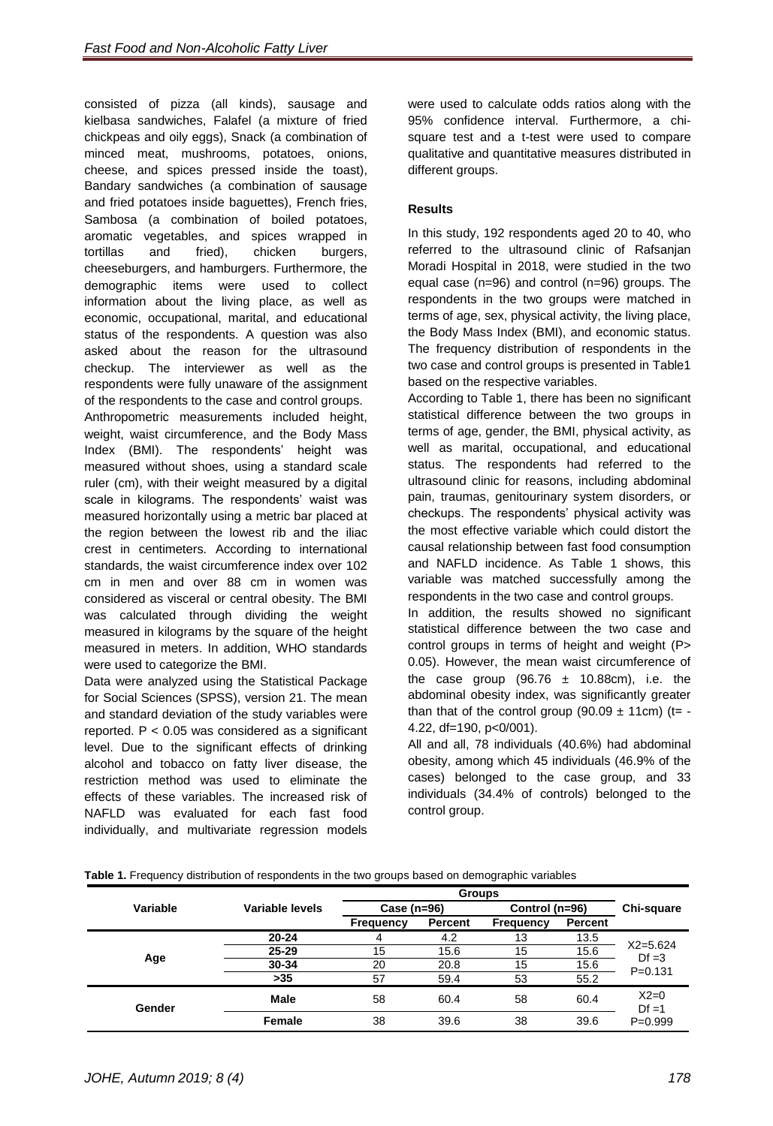consisted of pizza (all kinds), sausage and kielbasa sandwiches, Falafel (a mixture of fried chickpeas and oily eggs), Snack (a combination of minced meat, mushrooms, potatoes, onions, cheese, and spices pressed inside the toast), Bandary sandwiches (a combination of sausage and fried potatoes inside baguettes), French fries, Sambosa (a combination of boiled potatoes, aromatic vegetables, and spices wrapped in tortillas and fried), chicken burgers, cheeseburgers, and hamburgers. Furthermore, the demographic items were used to collect information about the living place, as well as economic, occupational, marital, and educational status of the respondents. A question was also asked about the reason for the ultrasound checkup. The interviewer as well as the respondents were fully unaware of the assignment of the respondents to the case and control groups. Anthropometric measurements included height, weight, waist circumference, and the Body Mass Index (BMI). The respondents' height was measured without shoes, using a standard scale ruler (cm), with their weight measured by a digital scale in kilograms. The respondents' waist was measured horizontally using a metric bar placed at the region between the lowest rib and the iliac crest in centimeters. According to international standards, the waist circumference index over 102 cm in men and over 88 cm in women was considered as visceral or central obesity. The BMI was calculated through dividing the weight measured in kilograms by the square of the height measured in meters. In addition, WHO standards were used to categorize the BMI.

Data were analyzed using the Statistical Package for Social Sciences (SPSS), version 21. The mean and standard deviation of the study variables were reported. P < 0.05 was considered as a significant level. Due to the significant effects of drinking alcohol and tobacco on fatty liver disease, the restriction method was used to eliminate the effects of these variables. The increased risk of NAFLD was evaluated for each fast food individually, and multivariate regression models

were used to calculate odds ratios along with the 95% confidence interval. Furthermore, a chisquare test and a t-test were used to compare qualitative and quantitative measures distributed in different groups.

## **Results**

In this study, 192 respondents aged 20 to 40, who referred to the ultrasound clinic of Rafsanjan Moradi Hospital in 2018, were studied in the two equal case (n=96) and control (n=96) groups. The respondents in the two groups were matched in terms of age, sex, physical activity, the living place, the Body Mass Index (BMI), and economic status. The frequency distribution of respondents in the two case and control groups is presented in Table1 based on the respective variables.

According to Table 1, there has been no significant statistical difference between the two groups in terms of age, gender, the BMI, physical activity, as well as marital, occupational, and educational status. The respondents had referred to the ultrasound clinic for reasons, including abdominal pain, traumas, genitourinary system disorders, or checkups. The respondents' physical activity was the most effective variable which could distort the causal relationship between fast food consumption and NAFLD incidence. As Table 1 shows, this variable was matched successfully among the respondents in the two case and control groups.

In addition, the results showed no significant statistical difference between the two case and control groups in terms of height and weight (P> 0.05). However, the mean waist circumference of the case group  $(96.76 \pm 10.88$ cm), i.e. the abdominal obesity index, was significantly greater than that of the control group (90.09  $\pm$  11cm) (t= -4.22, df=190, p<0/001).

All and all, 78 individuals (40.6%) had abdominal obesity, among which 45 individuals (46.9% of the cases) belonged to the case group, and 33 individuals (34.4% of controls) belonged to the control group.

|  |  | Table 1. Frequency distribution of respondents in the two groups based on demographic variables |  |  |
|--|--|-------------------------------------------------------------------------------------------------|--|--|
|  |  |                                                                                                 |  |  |

| Variable | Variable levels | Case (n=96)      |                | Control (n=96)   | Chi-square     |                          |
|----------|-----------------|------------------|----------------|------------------|----------------|--------------------------|
|          |                 | <b>Frequency</b> | <b>Percent</b> | <b>Frequency</b> | <b>Percent</b> |                          |
|          | $20 - 24$       | 4                | 4.2            | 13               | 13.5           | $X2 = 5.624$<br>$Df = 3$ |
| Age      | $25 - 29$       | 15               | 15.6           | 15               | 15.6           |                          |
|          | 30-34           | 20               | 20.8           | 15               | 15.6           | $P = 0.131$              |
|          | $>35$           | 57               | 59.4           | 53               | 55.2           |                          |
| Gender   | <b>Male</b>     | 58               | 60.4           | 58               | 60.4           | $X2=0$<br>$Df = 1$       |
|          | <b>Female</b>   | 38               | 39.6           | 38               | 39.6           | $P = 0.999$              |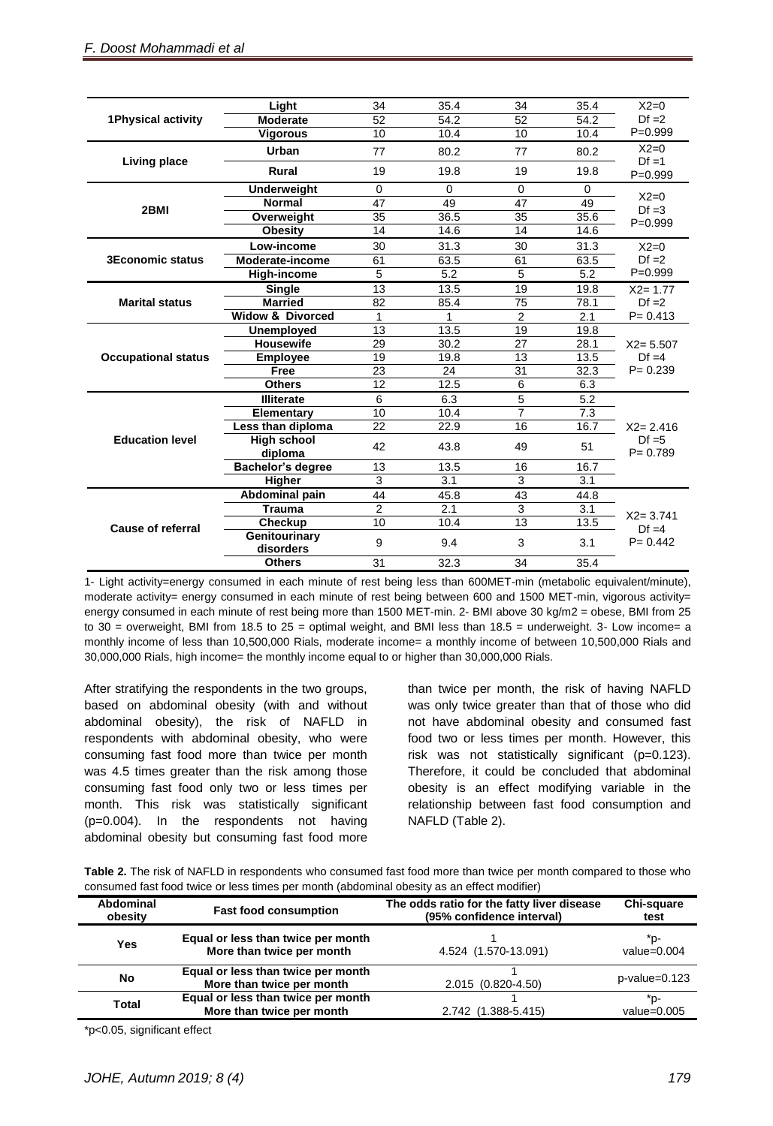|                            | Light                         | 34             | 35.4     | 34             | 35.4             | $X2=0$                   |
|----------------------------|-------------------------------|----------------|----------|----------------|------------------|--------------------------|
| 1Physical activity         | <b>Moderate</b>               | 52             | 54.2     | 52             | 54.2             | $Df = 2$                 |
|                            | <b>Vigorous</b>               | 10             | 10.4     | 10             | 10.4             | $P = 0.999$              |
|                            | Urban                         | 77             | 80.2     | 77             | 80.2             | $X2=0$<br>$Df = 1$       |
| <b>Living place</b>        | <b>Rural</b>                  | 19             | 19.8     | 19             | 19.8             | $P = 0.999$              |
|                            | <b>Underweight</b>            | $\mathbf 0$    | $\Omega$ | $\mathbf 0$    | 0                |                          |
|                            | <b>Normal</b>                 | 47             | 49       | 47             | 49               | $X2=0$<br>$Df = 3$       |
| 2BMI                       | Overweight                    | 35             | 36.5     | 35             | 35.6             | $P = 0.999$              |
|                            | <b>Obesity</b>                | 14             | 14.6     | 14             | 14.6             |                          |
|                            | Low-income                    | 30             | 31.3     | 30             | 31.3             | $X2=0$                   |
| <b>3Economic status</b>    | Moderate-income               | 61             | 63.5     | 61             | 63.5             | $Df = 2$                 |
|                            | <b>High-income</b>            | 5              | 5.2      | 5              | 5.2              | $P = 0.999$              |
|                            | <b>Single</b>                 | 13             | 13.5     | 19             | 19.8             | $X2 = 1.77$              |
| <b>Marital status</b>      | <b>Married</b>                | 82             | 85.4     | 75             | 78.1             | $Df = 2$                 |
|                            | <b>Widow &amp; Divorced</b>   | 1              | 1        | $\overline{2}$ | 2.1              | $P = 0.413$              |
|                            | <b>Unemployed</b>             | 13             | 13.5     | 19             | 19.8             |                          |
|                            | <b>Housewife</b>              | 29             | 30.2     | 27             | 28.1             | $X2 = 5.507$             |
| <b>Occupational status</b> | <b>Employee</b>               | 19             | 19.8     | 13             | 13.5             | $Df = 4$                 |
|                            | <b>Free</b>                   | 23             | 24       | 31             | 32.3             | $P = 0.239$              |
|                            | <b>Others</b>                 | 12             | 12.5     | 6              | 6.3              |                          |
|                            | <b>Illiterate</b>             | $6\phantom{1}$ | 6.3      | 5              | 5.2              |                          |
|                            | <b>Elementary</b>             | 10             | 10.4     | 7              | $\overline{7.3}$ |                          |
|                            | Less than diploma             | 22             | 22.9     | 16             | 16.7             | $X2 = 2.416$             |
| <b>Education level</b>     | <b>High school</b><br>diploma | 42             | 43.8     | 49             | 51               | $Df = 5$<br>$P = 0.789$  |
|                            | <b>Bachelor's degree</b>      | 13             | 13.5     | 16             | 16.7             |                          |
|                            | Higher                        | 3              | 3.1      | 3              | 3.1              |                          |
|                            | <b>Abdominal pain</b>         | 44             | 45.8     | 43             | 44.8             |                          |
|                            | <b>Trauma</b>                 | $\overline{2}$ | 2.1      | 3              | 3.1              |                          |
| <b>Cause of referral</b>   | Checkup                       | 10             | 10.4     | 13             | 13.5             | $X2 = 3.741$<br>$Df = 4$ |
|                            | Genitourinary<br>disorders    | 9              | 9.4      | 3              | 3.1              | $P = 0.442$              |
|                            | <b>Others</b>                 | 31             | 32.3     | 34             | 35.4             |                          |

1- Light activity=energy consumed in each minute of rest being less than 600MET-min (metabolic equivalent/minute), moderate activity= energy consumed in each minute of rest being between 600 and 1500 MET-min, vigorous activity= energy consumed in each minute of rest being more than 1500 MET-min. 2- BMI above 30 kg/m2 = obese, BMI from 25 to  $30$  = overweight, BMI from 18.5 to  $25$  = optimal weight, and BMI less than 18.5 = underweight. 3- Low income= a monthly income of less than 10,500,000 Rials, moderate income= a monthly income of between 10,500,000 Rials and 30,000,000 Rials, high income= the monthly income equal to or higher than 30,000,000 Rials.

After stratifying the respondents in the two groups, based on abdominal obesity (with and without abdominal obesity), the risk of NAFLD in respondents with abdominal obesity, who were consuming fast food more than twice per month was 4.5 times greater than the risk among those consuming fast food only two or less times per month. This risk was statistically significant (p=0.004). In the respondents not having abdominal obesity but consuming fast food more than twice per month, the risk of having NAFLD was only twice greater than that of those who did not have abdominal obesity and consumed fast food two or less times per month. However, this risk was not statistically significant (p=0.123). Therefore, it could be concluded that abdominal obesity is an effect modifying variable in the relationship between fast food consumption and NAFLD (Table 2).

| Abdominal<br>obesity | <b>Fast food consumption</b>                                    | The odds ratio for the fatty liver disease<br>(95% confidence interval) | Chi-square<br>test    |
|----------------------|-----------------------------------------------------------------|-------------------------------------------------------------------------|-----------------------|
| <b>Yes</b>           | Equal or less than twice per month<br>More than twice per month | 4.524 (1.570-13.091)                                                    | *o-<br>value= $0.004$ |
| No                   | Equal or less than twice per month<br>More than twice per month | 2.015 (0.820-4.50)                                                      | $p$ -value=0.123      |
| Total                | Equal or less than twice per month<br>More than twice per month | 2.742 (1.388-5.415)                                                     | *p-<br>value= $0.005$ |

**Table 2.** The risk of NAFLD in respondents who consumed fast food more than twice per month compared to those who consumed fast food twice or less times per month (abdominal obesity as an effect modifier)

\*p<0.05, significant effect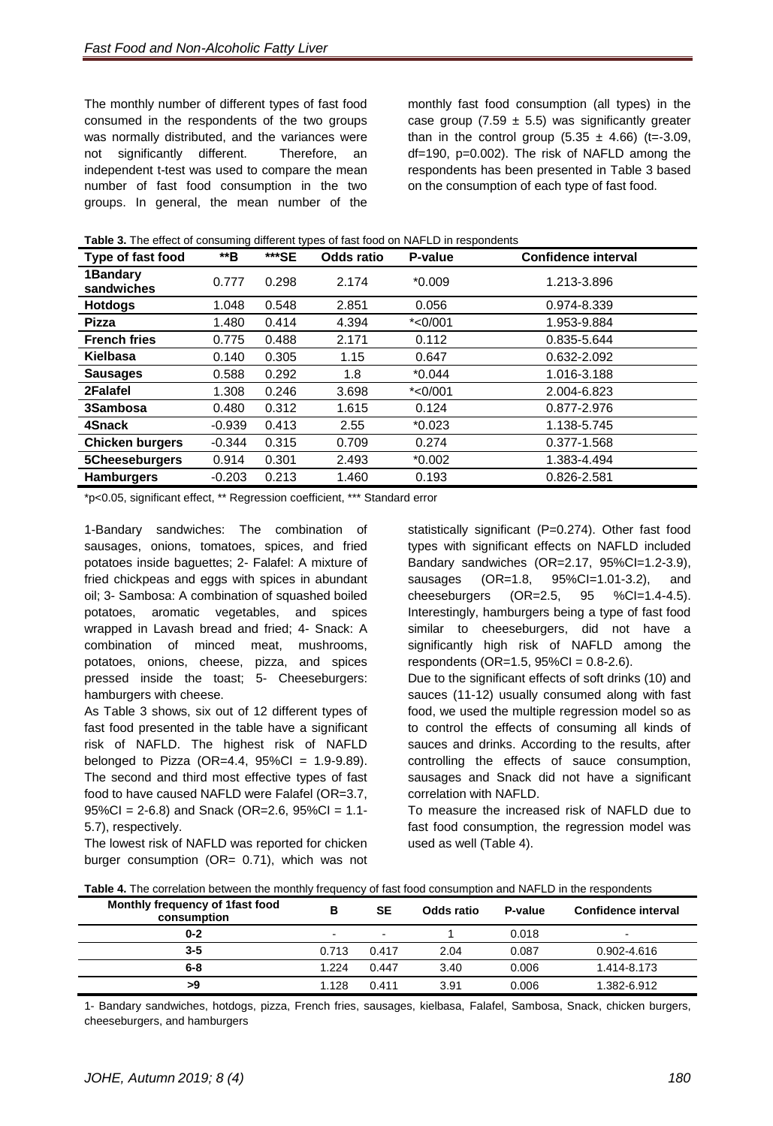The monthly number of different types of fast food consumed in the respondents of the two groups was normally distributed, and the variances were not significantly different. Therefore, an independent t-test was used to compare the mean number of fast food consumption in the two groups. In general, the mean number of the

monthly fast food consumption (all types) in the case group (7.59  $\pm$  5.5) was significantly greater than in the control group  $(5.35 \pm 4.66)$  (t=-3.09, df=190, p=0.002). The risk of NAFLD among the respondents has been presented in Table 3 based on the consumption of each type of fast food.

|  |  |  |  |  | Table 3. The effect of consuming different types of fast food on NAFLD in respondents |
|--|--|--|--|--|---------------------------------------------------------------------------------------|
|--|--|--|--|--|---------------------------------------------------------------------------------------|

| <b>Type of fast food</b> | **B      | ***SE | <b>Odds ratio</b> | P-value    | <b>Confidence interval</b> |
|--------------------------|----------|-------|-------------------|------------|----------------------------|
| 1Bandary<br>sandwiches   | 0.777    | 0.298 | 2.174             | $*0.009$   | 1.213-3.896                |
| <b>Hotdogs</b>           | 1.048    | 0.548 | 2.851             | 0.056      | 0.974-8.339                |
| <b>Pizza</b>             | 1.480    | 0.414 | 4.394             | $*$ <0/001 | 1.953-9.884                |
| <b>French fries</b>      | 0.775    | 0.488 | 2.171             | 0.112      | 0.835-5.644                |
| Kielbasa                 | 0.140    | 0.305 | 1.15              | 0.647      | 0.632-2.092                |
| <b>Sausages</b>          | 0.588    | 0.292 | 1.8               | $*0.044$   | 1.016-3.188                |
| 2Falafel                 | 1.308    | 0.246 | 3.698             | $*$ <0/001 | 2.004-6.823                |
| 3Sambosa                 | 0.480    | 0.312 | 1.615             | 0.124      | 0.877-2.976                |
| 4Snack                   | $-0.939$ | 0.413 | 2.55              | $*0.023$   | 1.138-5.745                |
| <b>Chicken burgers</b>   | $-0.344$ | 0.315 | 0.709             | 0.274      | 0.377-1.568                |
| 5Cheeseburgers           | 0.914    | 0.301 | 2.493             | $*0.002$   | 1.383-4.494                |
| <b>Hamburgers</b>        | $-0.203$ | 0.213 | 1.460             | 0.193      | 0.826-2.581                |

\*p<0.05, significant effect, \*\* Regression coefficient, \*\*\* Standard error

1-Bandary sandwiches: The combination of sausages, onions, tomatoes, spices, and fried potatoes inside baguettes; 2- Falafel: A mixture of fried chickpeas and eggs with spices in abundant oil; 3- Sambosa: A combination of squashed boiled potatoes, aromatic vegetables, and spices wrapped in Lavash bread and fried; 4- Snack: A combination of minced meat, mushrooms, potatoes, onions, cheese, pizza, and spices pressed inside the toast; 5- Cheeseburgers: hamburgers with cheese.

As Table 3 shows, six out of 12 different types of fast food presented in the table have a significant risk of NAFLD. The highest risk of NAFLD belonged to Pizza (OR=4.4,  $95\%$ CI = 1.9-9.89). The second and third most effective types of fast food to have caused NAFLD were Falafel (OR=3.7,  $95\%CI = 2-6.8$ ) and Snack (OR=2.6, 95%Cl = 1.1-5.7), respectively.

The lowest risk of NAFLD was reported for chicken burger consumption (OR= 0.71), which was not statistically significant (P=0.274). Other fast food types with significant effects on NAFLD included Bandary sandwiches (OR=2.17, 95%CI=1.2-3.9), sausages (OR=1.8, 95%CI=1.01-3.2), and cheeseburgers (OR=2.5, 95 %CI=1.4-4.5). Interestingly, hamburgers being a type of fast food similar to cheeseburgers, did not have a significantly high risk of NAFLD among the respondents (OR=1.5, 95%CI = 0.8-2.6).

Due to the significant effects of soft drinks (10) and sauces (11-12) usually consumed along with fast food, we used the multiple regression model so as to control the effects of consuming all kinds of sauces and drinks. According to the results, after controlling the effects of sauce consumption, sausages and Snack did not have a significant correlation with NAFLD.

To measure the increased risk of NAFLD due to fast food consumption, the regression model was used as well (Table 4).

|  |  |  | Table 4. The correlation between the monthly frequency of fast food consumption and NAFLD in the respondents |
|--|--|--|--------------------------------------------------------------------------------------------------------------|
|  |  |  |                                                                                                              |

| Monthly frequency of 1 fast food<br>consumption | в     | <b>SE</b> | Odds ratio | P-value | <b>Confidence interval</b> |
|-------------------------------------------------|-------|-----------|------------|---------|----------------------------|
| $0 - 2$                                         |       |           |            | 0.018   | $\overline{\phantom{a}}$   |
| $3 - 5$                                         | 0.713 | 0.417     | 2.04       | 0.087   | $0.902 - 4.616$            |
| 6-8                                             | 1.224 | 0.447     | 3.40       | 0.006   | 1.414-8.173                |
| رد>                                             | 1.128 | 0.411     | 3.91       | 0.006   | 1.382-6.912                |

1- Bandary sandwiches, hotdogs, pizza, French fries, sausages, kielbasa, Falafel, Sambosa, Snack, chicken burgers, cheeseburgers, and hamburgers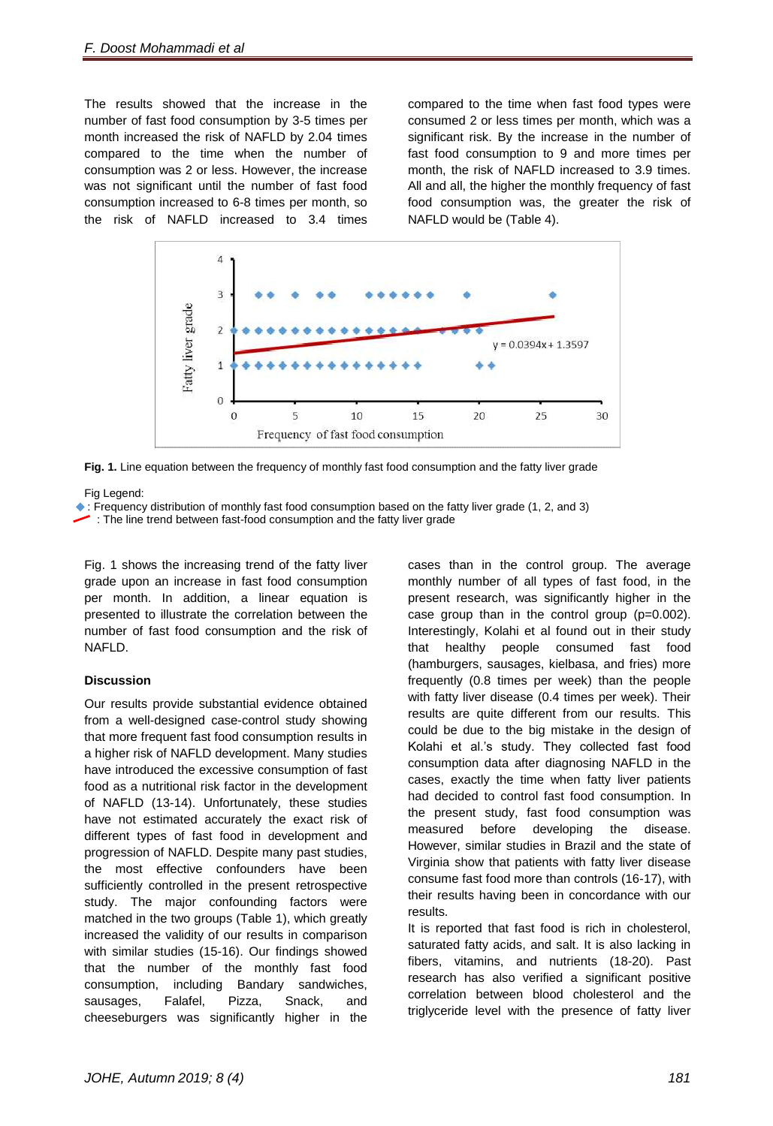The results showed that the increase in the number of fast food consumption by 3-5 times per month increased the risk of NAFLD by 2.04 times compared to the time when the number of consumption was 2 or less. However, the increase was not significant until the number of fast food consumption increased to 6-8 times per month, so the risk of NAFLD increased to 3.4 times

compared to the time when fast food types were consumed 2 or less times per month, which was a significant risk. By the increase in the number of fast food consumption to 9 and more times per month, the risk of NAFLD increased to 3.9 times. All and all, the higher the monthly frequency of fast food consumption was, the greater the risk of NAFLD would be (Table 4).



Fig. 1. Line equation between the frequency of monthly fast food consumption and the fatty liver grade

Fig Legend:

 $\bullet$ : Frequency distribution of monthly fast food consumption based on the fatty liver grade (1, 2, and 3)

: The line trend between fast-food consumption and the fatty liver grade

Fig. 1 shows the increasing trend of the fatty liver grade upon an increase in fast food consumption per month. In addition, a linear equation is presented to illustrate the correlation between the number of fast food consumption and the risk of NAFLD.

### **Discussion**

Our results provide substantial evidence obtained from a well-designed case-control study showing that more frequent fast food consumption results in a higher risk of NAFLD development. Many studies have introduced the excessive consumption of fast food as a nutritional risk factor in the development of NAFLD (13-14). Unfortunately, these studies have not estimated accurately the exact risk of different types of fast food in development and progression of NAFLD. Despite many past studies, the most effective confounders have been sufficiently controlled in the present retrospective study. The major confounding factors were matched in the two groups (Table 1), which greatly increased the validity of our results in comparison with similar studies (15-16). Our findings showed that the number of the monthly fast food consumption, including Bandary sandwiches, sausages, Falafel, Pizza, Snack, and cheeseburgers was significantly higher in the

cases than in the control group. The average monthly number of all types of fast food, in the present research, was significantly higher in the case group than in the control group (p=0.002). Interestingly, Kolahi et al found out in their study that healthy people consumed fast food (hamburgers, sausages, kielbasa, and fries) more frequently (0.8 times per week) than the people with fatty liver disease (0.4 times per week). Their results are quite different from our results. This could be due to the big mistake in the design of Kolahi et al.'s study. They collected fast food consumption data after diagnosing NAFLD in the cases, exactly the time when fatty liver patients had decided to control fast food consumption. In the present study, fast food consumption was measured before developing the disease. However, similar studies in Brazil and the state of Virginia show that patients with fatty liver disease consume fast food more than controls (16-17), with their results having been in concordance with our results.

It is reported that fast food is rich in cholesterol, saturated fatty acids, and salt. It is also lacking in fibers, vitamins, and nutrients (18-20). Past research has also verified a significant positive correlation between blood cholesterol and the triglyceride level with the presence of fatty liver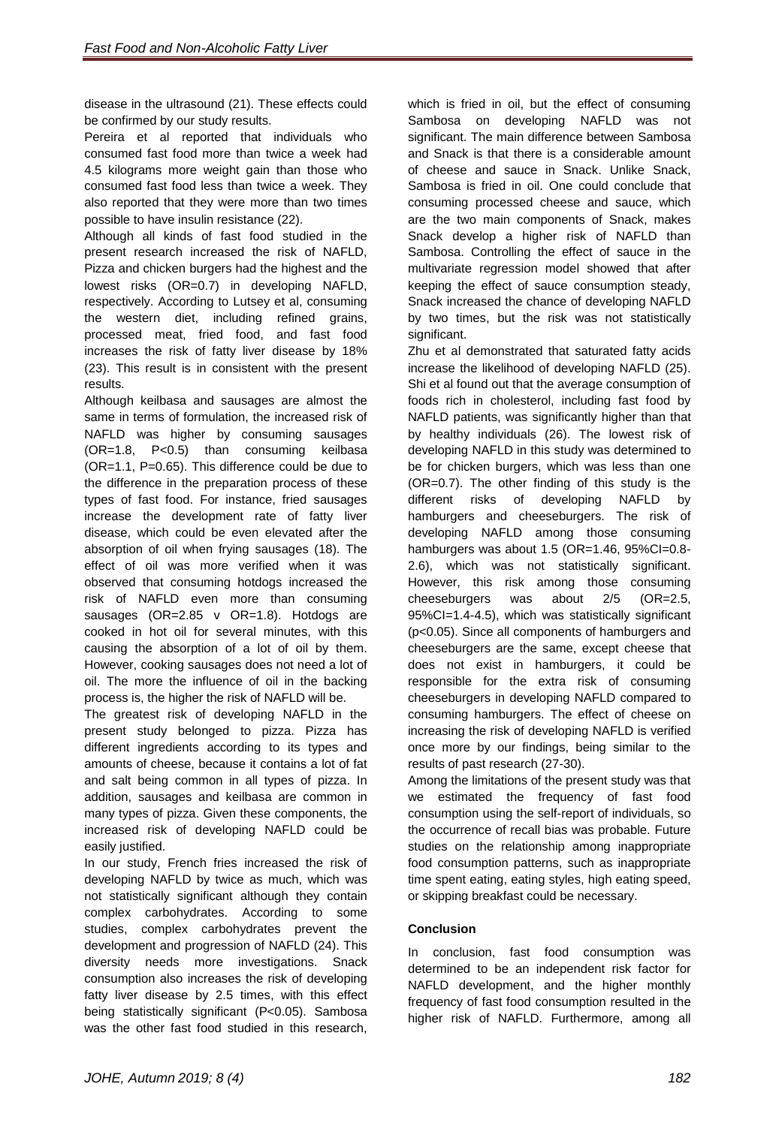disease in the ultrasound (21). These effects could be confirmed by our study results.

Pereira et al reported that individuals who consumed fast food more than twice a week had 4.5 kilograms more weight gain than those who consumed fast food less than twice a week. They also reported that they were more than two times possible to have insulin resistance (22).

Although all kinds of fast food studied in the present research increased the risk of NAFLD, Pizza and chicken burgers had the highest and the lowest risks (OR=0.7) in developing NAFLD, respectively. According to Lutsey et al, consuming the western diet, including refined grains, processed meat, fried food, and fast food increases the risk of fatty liver disease by 18% (23). This result is in consistent with the present results.

Although keilbasa and sausages are almost the same in terms of formulation, the increased risk of NAFLD was higher by consuming sausages (OR=1.8, P<0.5) than consuming keilbasa (OR=1.1, P=0.65). This difference could be due to the difference in the preparation process of these types of fast food. For instance, fried sausages increase the development rate of fatty liver disease, which could be even elevated after the absorption of oil when frying sausages (18). The effect of oil was more verified when it was observed that consuming hotdogs increased the risk of NAFLD even more than consuming sausages (OR=2.85 v OR=1.8). Hotdogs are cooked in hot oil for several minutes, with this causing the absorption of a lot of oil by them. However, cooking sausages does not need a lot of oil. The more the influence of oil in the backing process is, the higher the risk of NAFLD will be.

The greatest risk of developing NAFLD in the present study belonged to pizza. Pizza has different ingredients according to its types and amounts of cheese, because it contains a lot of fat and salt being common in all types of pizza. In addition, sausages and keilbasa are common in many types of pizza. Given these components, the increased risk of developing NAFLD could be easily justified.

In our study, French fries increased the risk of developing NAFLD by twice as much, which was not statistically significant although they contain complex carbohydrates. According to some studies, complex carbohydrates prevent the development and progression of NAFLD (24). This diversity needs more investigations. Snack consumption also increases the risk of developing fatty liver disease by 2.5 times, with this effect being statistically significant (P<0.05). Sambosa was the other fast food studied in this research,

which is fried in oil, but the effect of consuming Sambosa on developing NAFLD was not significant. The main difference between Sambosa and Snack is that there is a considerable amount of cheese and sauce in Snack. Unlike Snack, Sambosa is fried in oil. One could conclude that consuming processed cheese and sauce, which are the two main components of Snack, makes Snack develop a higher risk of NAFLD than Sambosa. Controlling the effect of sauce in the multivariate regression model showed that after keeping the effect of sauce consumption steady, Snack increased the chance of developing NAFLD by two times, but the risk was not statistically significant.

Zhu et al demonstrated that saturated fatty acids increase the likelihood of developing NAFLD (25). Shi et al found out that the average consumption of foods rich in cholesterol, including fast food by NAFLD patients, was significantly higher than that by healthy individuals (26). The lowest risk of developing NAFLD in this study was determined to be for chicken burgers, which was less than one (OR=0.7). The other finding of this study is the different risks of developing NAFLD by hamburgers and cheeseburgers. The risk of developing NAFLD among those consuming hamburgers was about 1.5 (OR=1.46, 95%Cl=0.8-2.6), which was not statistically significant. However, this risk among those consuming cheeseburgers was about 2/5 (OR=2.5, 95%CI=1.4-4.5), which was statistically significant (p<0.05). Since all components of hamburgers and cheeseburgers are the same, except cheese that does not exist in hamburgers, it could be responsible for the extra risk of consuming cheeseburgers in developing NAFLD compared to consuming hamburgers. The effect of cheese on increasing the risk of developing NAFLD is verified once more by our findings, being similar to the results of past research (27-30).

Among the limitations of the present study was that we estimated the frequency of fast food consumption using the self-report of individuals, so the occurrence of recall bias was probable. Future studies on the relationship among inappropriate food consumption patterns, such as inappropriate time spent eating, eating styles, high eating speed, or skipping breakfast could be necessary.

## **Conclusion**

In conclusion, fast food consumption was determined to be an independent risk factor for NAFLD development, and the higher monthly frequency of fast food consumption resulted in the higher risk of NAFLD. Furthermore, among all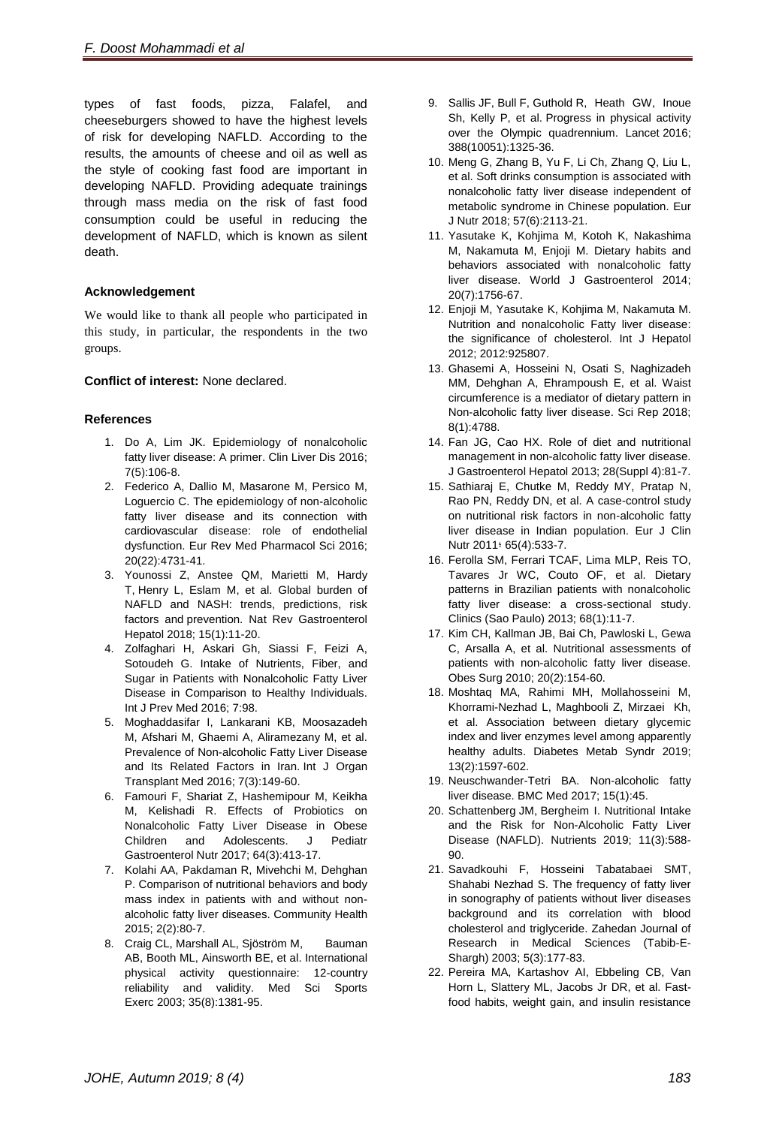types of fast foods, pizza, Falafel, and cheeseburgers showed to have the highest levels of risk for developing NAFLD. According to the results, the amounts of cheese and oil as well as the style of cooking fast food are important in developing NAFLD. Providing adequate trainings through mass media on the risk of fast food consumption could be useful in reducing the development of NAFLD, which is known as silent death.

### **Acknowledgement**

We would like to thank all people who participated in this study, in particular, the respondents in the two groups.

### **Conflict of interest:** None declared.

### **References**

- 1. Do A, Lim JK. Epidemiology of nonalcoholic fatty liver disease: A primer. Clin Liver Dis 2016;  $7(5)$ :106-8.
- 2. Federico A, Dallio M, Masarone M, Persico M, Loguercio C. The epidemiology of non-alcoholic fatty liver disease and its connection with cardiovascular disease: role of endothelial dysfunction. Eur Rev Med Pharmacol Sci 2016; 20(22):4731-41.
- 3. Younossi Z, Anstee QM, Marietti M, Hardy T, Henry L, Eslam M, et al. Global burden of NAFLD and NASH: trends, predictions, risk factors and prevention. Nat Rev Gastroenterol Hepatol 2018; 15(1):11-20.
- 4. Zolfaghari H, Askari Gh, Siassi F, Feizi A, Sotoudeh G. Intake of Nutrients, Fiber, and Sugar in Patients with Nonalcoholic Fatty Liver Disease in Comparison to Healthy Individuals. Int J Prev Med 2016; 7:98.
- 5. Moghaddasifar I, Lankarani KB, Moosazadeh M, Afshari M, Ghaemi A, Aliramezany M, et al. Prevalence of Non-alcoholic Fatty Liver Disease and Its Related Factors in Iran. Int J Organ Transplant Med 2016; 7(3):149-60.
- 6. Famouri F, Shariat Z, Hashemipour M, Keikha M, Kelishadi R. Effects of Probiotics on Nonalcoholic Fatty Liver Disease in Obese Children and Adolescents. J Pediatr Gastroenterol Nutr 2017; 64(3):413-17.
- 7. Kolahi AA, Pakdaman R, Mivehchi M, Dehghan P. Comparison of nutritional behaviors and body mass index in patients with and without nonalcoholic fatty liver diseases. Community Health 2015; 2(2):80-7.
- 8. Craig CL, Marshall AL, Sjöström M, Bauman AB, Booth ML, Ainsworth BE, et al. International physical activity questionnaire: 12-country reliability and validity. Med Sci Sports Exerc 2003; 35(8):1381-95.
- 9. Sallis JF, Bull F, Guthold R, Heath GW, Inoue Sh, Kelly P, et al. Progress in physical activity over the Olympic quadrennium. Lancet 2016; 388(10051):1325-36.
- 10. Meng G, Zhang B, Yu F, Li Ch, Zhang Q, Liu L, et al. Soft drinks consumption is associated with nonalcoholic fatty liver disease independent of metabolic syndrome in Chinese population. Eur J Nutr 2018; 57(6):2113-21.
- 11. Yasutake K, Kohjima M, Kotoh K, Nakashima M, Nakamuta M, Enjoji M. Dietary habits and behaviors associated with nonalcoholic fatty liver disease. World J Gastroenterol 2014; 20(7):1756-67.
- 12. Enjoji M, Yasutake K, Kohjima M, Nakamuta M. Nutrition and nonalcoholic Fatty liver disease: the significance of cholesterol. Int J Hepatol 2012; 2012:925807.
- 13. Ghasemi A, Hosseini N, Osati S, Naghizadeh MM, Dehghan A, Ehrampoush E, et al. Waist circumference is a mediator of dietary pattern in Non-alcoholic fatty liver disease. Sci Rep 2018; 8(1):4788.
- 14. Fan JG, Cao HX. Role of diet and nutritional management in non-alcoholic fatty liver disease. J Gastroenterol Hepatol 2013; 28(Suppl 4):81-7.
- 15. Sathiaraj E, Chutke M, Reddy MY, Pratap N, Rao PN, Reddy DN, et al. A case-control study on nutritional risk factors in non-alcoholic fatty liver disease in Indian population. Eur J Clin Nutr 2011 : 65(4):533-7.
- 16. Ferolla SM, Ferrari TCAF, Lima MLP, Reis TO, Tavares Jr WC, Couto OF, et al. Dietary patterns in Brazilian patients with nonalcoholic fatty liver disease: a cross-sectional study. Clinics (Sao Paulo) 2013; 68(1):11-7.
- 17. Kim CH, Kallman JB, Bai Ch, Pawloski L, Gewa C, Arsalla A, et al. Nutritional assessments of patients with non-alcoholic fatty liver disease. Obes Surg 2010; 20(2):154-60.
- 18. Moshtaq MA, Rahimi MH, Mollahosseini M, Khorrami-Nezhad L, Maghbooli Z, Mirzaei Kh, et al. Association between dietary glycemic index and liver enzymes level among apparently healthy adults. Diabetes Metab Syndr 2019; 13(2):1597-602.
- 19. Neuschwander-Tetri BA. Non-alcoholic fatty liver disease. BMC Med 2017; 15(1):45.
- 20. [Schattenberg](https://www.mdpi.com/search?authors=J%C3%B6rn%20%20M.%20Schattenberg&orcid=0000-0002-4224-4703) JM, Bergheim I. Nutritional Intake and the Risk for Non-Alcoholic Fatty Liver Disease (NAFLD). Nutrients 2019; 11(3):588- 90.
- 21. Savadkouhi F, Hosseini Tabatabaei SMT, Shahabi Nezhad S. The frequency of fatty liver in sonography of patients without liver diseases background and its correlation with blood cholesterol and triglyceride. Zahedan Journal of Research in Medical Sciences (Tabib-E-Shargh) 2003; 5(3):177-83.
- 22. Pereira MA, Kartashov AI, Ebbeling CB, Van Horn L, Slattery ML, Jacobs Jr DR, et al. Fastfood habits, weight gain, and insulin resistance